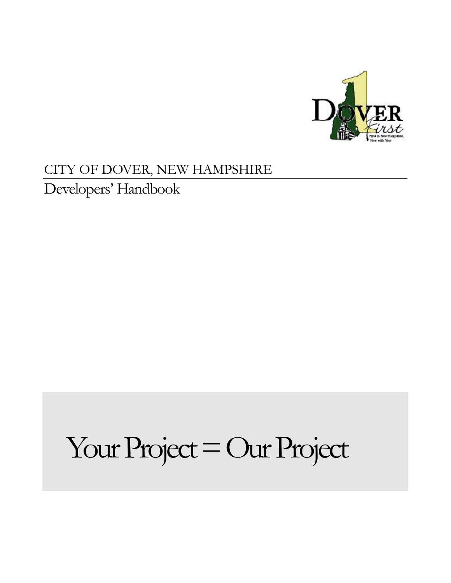

## CITY OF DOVER, NEW HAMPSHIRE

Developers' Handbook

## Your Project = Our Project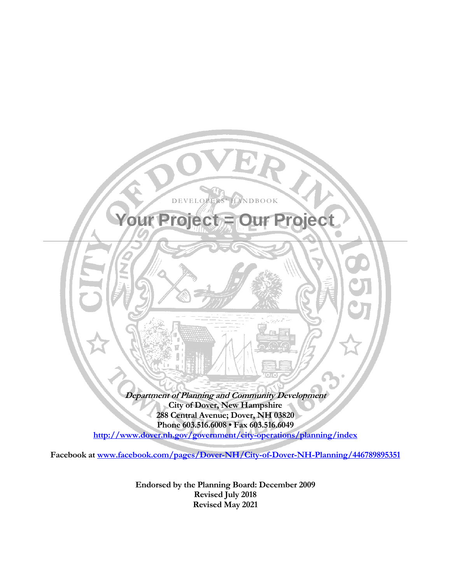

**Endorsed by the Planning Board: December 2009 Revised July 2018 Revised May 2021**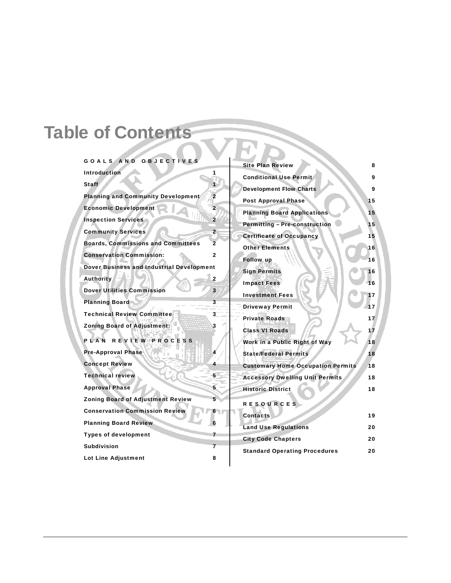## Table of Contents

| GOALS AND OBJECTIVES                             |                         | <b>Site Plan Review</b>                  | 8  |
|--------------------------------------------------|-------------------------|------------------------------------------|----|
| <b>Introduction</b>                              | 1                       | <b>Conditional Use Permit</b>            | 9  |
| <b>Staff</b>                                     | $\blacksquare$          | <b>Development Flow Charts</b>           | 9  |
| <b>Planning and Community Development</b>        | $\overline{2}$          | <b>Post Approval Phase</b>               | 15 |
| <b>Economic Development</b>                      | 2                       |                                          |    |
| <b>Inspection Services</b>                       | $\overline{2}$          | <b>Planning Board Applications</b>       | 15 |
| <b>Community Services</b>                        | $\overline{2}$          | <b>Permitting - Pre-construction</b>     | 15 |
| <b>Boards, Commissions and Committees</b>        | $\overline{2}$          | <b>Certificate of Occupancy</b>          | 15 |
| <b>Conservation Commission:</b>                  | $\mathbf{2}$            | <b>Other Elements</b>                    | 16 |
| <b>Dover Business and Industrial Development</b> |                         | <b>Follow up</b>                         | 16 |
|                                                  |                         | <b>Sign Permits</b>                      | 16 |
| <b>Authority</b>                                 | $\mathbf{z}$            | <b>Impact Fees</b>                       | 16 |
| <b>Dover Utilities Commission</b>                | $\mathbf{3}$            | <b>Investment Fees</b>                   | 17 |
| <b>Planning Board</b>                            | $3 -$                   | <b>Driveway Permit</b>                   | 17 |
| <b>Technical Review Committee</b>                | 3                       | <b>Private Roads</b>                     | 17 |
| <b>Zoning Board of Adjustment:</b>               | 3                       | <b>Class VI Roads</b>                    | 17 |
| PLAN REVIEW PROCESS                              |                         | Work in a Public Right of Way            | 18 |
| <b>Pre-Approval Phase</b>                        | 4                       | <b>State/Federal Permits</b>             | 18 |
| <b>Concept Review</b>                            | 4                       | <b>Customary Home Occupation Permits</b> | 18 |
| <b>Technical review</b>                          | 5                       | <b>Accessory Dwelling Unit Permits</b>   | 18 |
| <b>Approval Phase</b>                            | 5                       | <b>Historic District</b>                 | 18 |
| <b>Zoning Board of Adjustment Review</b>         | 5                       | <b>RESOURCES</b>                         |    |
| <b>Conservation Commission Review</b>            | 6                       | <b>Contacts</b>                          | 19 |
| <b>Planning Board Review</b>                     | 6                       |                                          |    |
| <b>Types of development</b>                      | 7                       | <b>Land Use Regulations</b>              | 20 |
| <b>Subdivision</b>                               | $\overline{\mathbf{z}}$ | <b>City Code Chapters</b>                | 20 |
|                                                  | 8                       | <b>Standard Operating Procedures</b>     | 20 |
| Lot Line Adjustment                              |                         |                                          |    |

| <b>Site Plan Review</b>                  | 8  |
|------------------------------------------|----|
| <b>Conditional Use Permit</b>            | 9  |
| <b>Development Flow Charts</b>           | 9  |
| <b>Post Approval Phase</b>               | 15 |
| <b>Planning Board Applications</b>       | 15 |
| <b>Permitting - Pre-construction</b>     | 15 |
| <b>Certificate of Occupancy</b>          | 15 |
| <b>Other Elements</b>                    | 16 |
| <b>Follow up</b>                         | 16 |
| <b>Sign Permits</b>                      | 16 |
| <b>Impact Fees</b>                       | 16 |
| <b>Investment Fees</b>                   | 17 |
| <b>Driveway Permit</b>                   | 17 |
| <b>Private Roads</b>                     | 17 |
| <b>Class VI Roads</b>                    | 17 |
| Work in a Public Right of Way            | 18 |
| <b>State/Federal Permits</b>             | 18 |
| <b>Customary Home Occupation Permits</b> | 18 |
| <b>Accessory Dwelling Unit Permits</b>   | 18 |
| <b>Historic District</b>                 | 18 |
| <b>RESOURCES</b>                         |    |
| <b>Contacts</b>                          | 19 |
| <b>Land Use Regulations</b>              | 20 |
| <b>City Code Chapters</b>                | 20 |
| <b>Standard Operating Procedures</b>     | 20 |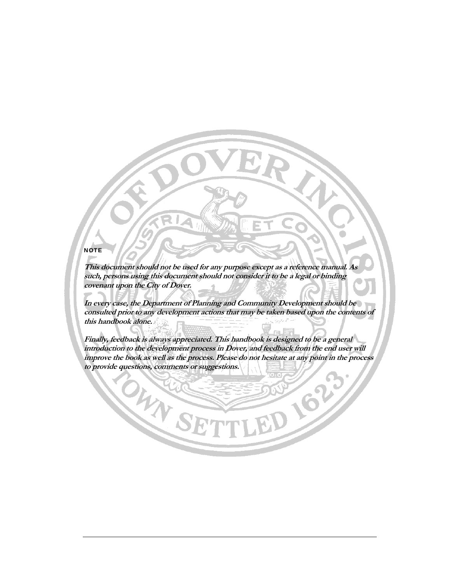#### **NOTE**

**This document should not be used for any purpose except as a reference manual. As such, persons using this document should not consider it to be a legal or binding covenant upon the City of Dover.** 

**In every case, the Department of Planning and Community Development should be consulted prior to any development actions that may be taken based upon the contents of this handbook alone.** 

**Finally, feedback is always appreciated. This handbook is designed to be a general introduction to the development process in Dover, and feedback from the end user will improve the book as well as the process. Please do not hesitate at any point in the process to provide questions, comments or suggestions.** 

OHANG

**D 162**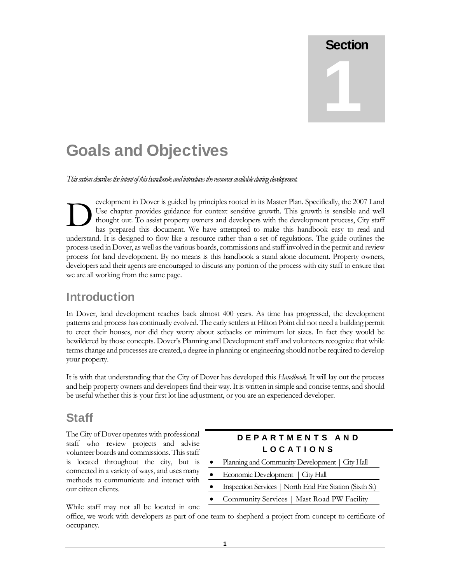# **Section** 1

## Goals and Objectives

*This section describes the intent of this handbook and introduces the resources available during development.* 

evelopment in Dover is guided by principles rooted in its Master Plan. Specifically, the 2007 Land Use chapter provides guidance for context sensitive growth. This growth is sensible and well thought out. To assist property owners and developers with the development process, City staff has prepared this document. We have attempted to make this handbook easy to read and understand. It is designed to flow like a resource rather than a set of regulations. The guide outlines the process used in Dover, as well as the various boards, commissions and staff involved in the permit and review process for land development. By no means is this handbook a stand alone document. Property owners, developers and their agents are encouraged to discuss any portion of the process with city staff to ensure that we are all working from the same page.  $\sum_{\substack{\text{th } \text{th } \text{}}}\nolimits$ 

### Introduction

In Dover, land development reaches back almost 400 years. As time has progressed, the development patterns and process has continually evolved. The early settlers at Hilton Point did not need a building permit to erect their houses, nor did they worry about setbacks or minimum lot sizes. In fact they would be bewildered by those concepts. Dover's Planning and Development staff and volunteers recognize that while terms change and processes are created, a degree in planning or engineering should not be required to develop your property.

It is with that understanding that the City of Dover has developed this *Handbook*. It will lay out the process and help property owners and developers find their way. It is written in simple and concise terms, and should be useful whether this is your first lot line adjustment, or you are an experienced developer.

### Staff

The City of Dover operates with professional staff who review projects and advise volunteer boards and commissions. This staff is located throughout the city, but is connected in a variety of ways, and uses many methods to communicate and interact with our citizen clients.

While staff may not all be located in one

#### DEPARTMENTS AND **LOCATIONS**

- Planning and Community Development | City Hall
- Economic Development | City Hall
- Inspection Services | North End Fire Station (Sixth St)
- Community Services | Mast Road PW Facility

office, we work with developers as part of one team to shepherd a project from concept to certificate of occupancy.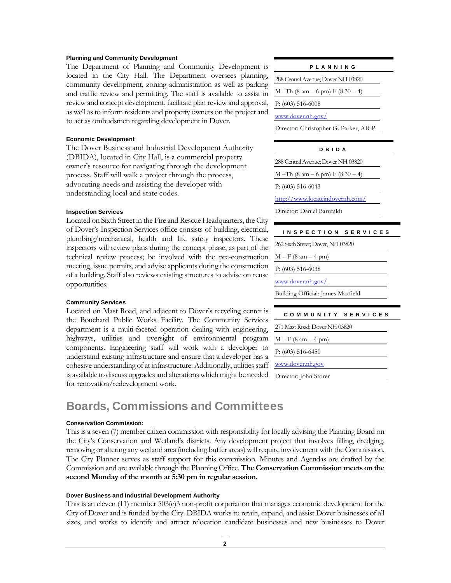#### Planning and Community Development

The Department of Planning and Community Development is located in the City Hall. The Department oversees planning, community development, zoning administration as well as parking and traffic review and permitting. The staff is available to assist in review and concept development, facilitate plan review and approval, as well as to inform residents and property owners on the project and to act as ombudsmen regarding development in Dover.

#### Economic Development

The Dover Business and Industrial Development Authority (DBIDA), located in City Hall, is a commercial property owner's resource for navigating through the development process. Staff will walk a project through the process, advocating needs and assisting the developer with understanding local and state codes.

#### Inspection Services

Located on Sixth Street in the Fire and Rescue Headquarters, the City of Dover's Inspection Services office consists of building, electrical, plumbing/mechanical, health and life safety inspectors. These inspectors will review plans during the concept phase, as part of the technical review process; be involved with the pre-construction meeting, issue permits, and advise applicants during the construction of a building. Staff also reviews existing structures to advise on reuse opportunities.

#### Community Services

Located on Mast Road, and adjacent to Dover's recycling center is the Bouchard Public Works Facility. The Community Services department is a multi-faceted operation dealing with engineering, highways, utilities and oversight of environmental program components. Engineering staff will work with a developer to understand existing infrastructure and ensure that a developer has a cohesive understanding of at infrastructure. Additionally, utilities staff is available to discuss upgrades and alterations which might be needed for renovation/redevelopment work.

### Boards, Commissions and Committees

#### Conservation Commission:

This is a seven (7) member citizen commission with responsibility for locally advising the Planning Board on the City's Conservation and Wetland's districts. Any development project that involves filling, dredging, removing or altering any wetland area (including buffer areas) will require involvement with the Commission. The City Planner serves as staff support for this commission. Minutes and Agendas are drafted by the Commission and are available through the Planning Office. **The Conservation Commission meets on the second Monday of the month at 5:30 pm in regular session.** 

#### Dover Business and Industrial Development Authority

This is an eleven (11) member 503(c)3 non-profit corporation that manages economic development for the City of Dover and is funded by the City. DBIDA works to retain, expand, and assist Dover businesses of all sizes, and works to identify and attract relocation candidate businesses and new businesses to Dover

#### PLANNING

288 Central Avenue; Dover NH 03820

M –Th (8 am – 6 pm) F (8:30 – 4)

P: (603) 516-6008

www.dover.nh.gov/

Director: Christopher G. Parker, AICP

#### DBIDA

288 Central Avenue; Dover NH 03820

M –Th (8 am – 6 pm) F (8:30 – 4)

P: (603) 516-6043

http://www.locateindovernh.com/

Director: Daniel Barufaldi

| INSPECTION SERVICES               |
|-----------------------------------|
| 262 Sixth Street; Dover, NH 03820 |
| $M - F (8 am - 4 pm)$             |
| $P: (603) 516-6038$               |
| www.dover.nh.gov/                 |
| Building Official: James Maxfield |
|                                   |

| COMMUNITY SERVICES            |
|-------------------------------|
| 271 Mast Road; Dover NH 03820 |
| $M - F (8 am - 4 pm)$         |
| $P: (603) 516-6450$           |
| www.dover.nh.gov              |
| Director: John Storer         |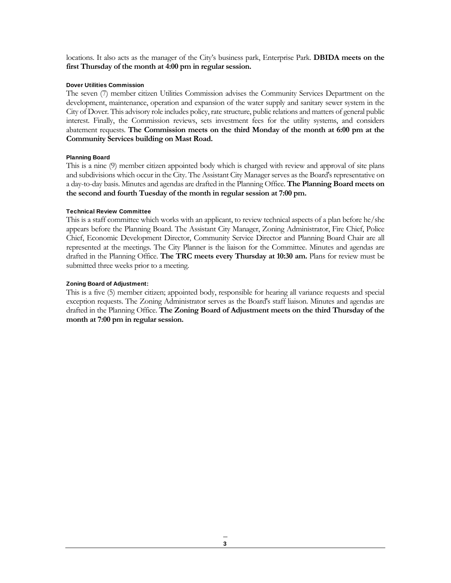locations. It also acts as the manager of the City's business park, Enterprise Park. **DBIDA meets on the first Thursday of the month at 4:00 pm in regular session.** 

#### Dover Utilities Commission

The seven (7) member citizen Utilities Commission advises the Community Services Department on the development, maintenance, operation and expansion of the water supply and sanitary sewer system in the City of Dover. This advisory role includes policy, rate structure, public relations and matters of general public interest. Finally, the Commission reviews, sets investment fees for the utility systems, and considers abatement requests. **The Commission meets on the third Monday of the month at 6:00 pm at the Community Services building on Mast Road.** 

#### Planning Board

This is a nine (9) member citizen appointed body which is charged with review and approval of site plans and subdivisions which occur in the City. The Assistant City Manager serves as the Board's representative on a day-to-day basis. Minutes and agendas are drafted in the Planning Office. **The Planning Board meets on the second and fourth Tuesday of the month in regular session at 7:00 pm.** 

#### Technical Review Committee

This is a staff committee which works with an applicant, to review technical aspects of a plan before he/she appears before the Planning Board. The Assistant City Manager, Zoning Administrator, Fire Chief, Police Chief, Economic Development Director, Community Service Director and Planning Board Chair are all represented at the meetings. The City Planner is the liaison for the Committee. Minutes and agendas are drafted in the Planning Office. **The TRC meets every Thursday at 10:30 am.** Plans for review must be submitted three weeks prior to a meeting.

#### Zoning Board of Adjustment:

This is a five (5) member citizen; appointed body, responsible for hearing all variance requests and special exception requests. The Zoning Administrator serves as the Board's staff liaison. Minutes and agendas are drafted in the Planning Office. **The Zoning Board of Adjustment meets on the third Thursday of the month at 7:00 pm in regular session.**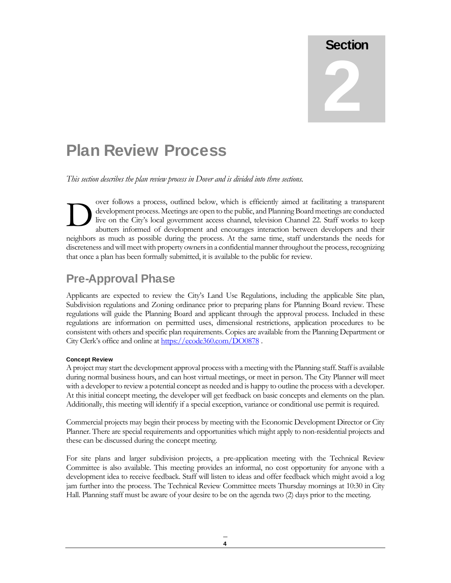# Section 2

## Plan Review Process

*This section describes the plan review process in Dover and is divided into three sections.* 

over follows a process, outlined below, which is efficiently aimed at facilitating a transparent development process. Meetings are open to the public, and Planning Board meetings are conducted live on the City's local government access channel, television Channel 22. Staff works to keep abutters informed of development and encourages interaction between developers and their neighbors as much as possible during the process. At the same time, staff understands the needs for discreteness and will meet with property owners in a confidential manner throughout the process, recognizing that once a plan has been formally submitted, it is available to the public for review.  $\sum_{\substack{\text{dv}\text{div}\text{div}}}$ 

## Pre-Approval Phase

Applicants are expected to review the City's Land Use Regulations, including the applicable Site plan, Subdivision regulations and Zoning ordinance prior to preparing plans for Planning Board review. These regulations will guide the Planning Board and applicant through the approval process. Included in these regulations are information on permitted uses, dimensional restrictions, application procedures to be consistent with others and specific plan requirements. Copies are available from the Planning Department or City Clerk's office and online at https://ecode360.com/DO0878.

#### Concept Review

A project may start the development approval process with a meeting with the Planning staff. Staff is available during normal business hours, and can host virtual meetings, or meet in person. The City Planner will meet with a developer to review a potential concept as needed and is happy to outline the process with a developer. At this initial concept meeting, the developer will get feedback on basic concepts and elements on the plan. Additionally, this meeting will identify if a special exception, variance or conditional use permit is required.

Commercial projects may begin their process by meeting with the Economic Development Director or City Planner. There are special requirements and opportunities which might apply to non-residential projects and these can be discussed during the concept meeting.

For site plans and larger subdivision projects, a pre-application meeting with the Technical Review Committee is also available. This meeting provides an informal, no cost opportunity for anyone with a development idea to receive feedback. Staff will listen to ideas and offer feedback which might avoid a log jam further into the process. The Technical Review Committee meets Thursday mornings at 10:30 in City Hall. Planning staff must be aware of your desire to be on the agenda two (2) days prior to the meeting.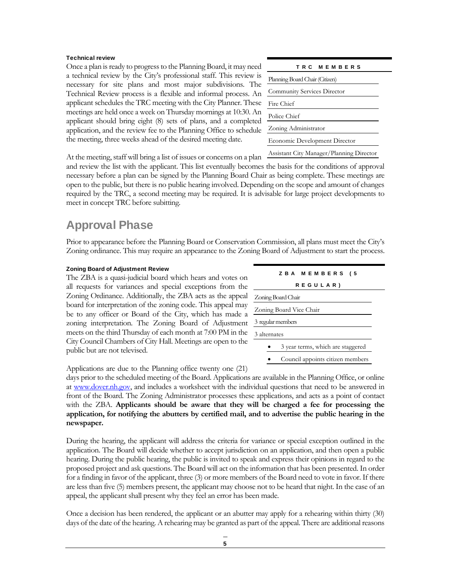#### Technical review

Once a plan is ready to progress to the Planning Board, it may need a technical review by the City's professional staff. This review is necessary for site plans and most major subdivisions. The Technical Review process is a flexible and informal process. An applicant schedules the TRC meeting with the City Planner. These meetings are held once a week on Thursday mornings at 10:30. An applicant should bring eight (8) sets of plans, and a completed application, and the review fee to the Planning Office to schedule the meeting, three weeks ahead of the desired meeting date.

| TRC MEMBERS                              |
|------------------------------------------|
| Planning Board Chair (Citizen)           |
| <b>Community Services Director</b>       |
| Fire Chief                               |
| Police Chief                             |
| Zoning Administrator                     |
| Economic Development Director            |
| Acquitant City Managay Dianning Divertor |

At the meeting, staff will bring a list of issues or concerns on a plan Assistant City Manager/Planning Director

and review the list with the applicant. This list eventually becomes the basis for the conditions of approval necessary before a plan can be signed by the Planning Board Chair as being complete. These meetings are open to the public, but there is no public hearing involved. Depending on the scope and amount of changes required by the TRC, a second meeting may be required. It is advisable for large project developments to meet in concept TRC before subitting.

## Approval Phase

Prior to appearance before the Planning Board or Conservation Commission, all plans must meet the City's Zoning ordinance. This may require an appearance to the Zoning Board of Adjustment to start the process.

#### Zoning Board of Adjustment Review

The ZBA is a quasi-judicial board which hears and votes on all requests for variances and special exceptions from the Zoning Ordinance. Additionally, the ZBA acts as the appeal board for interpretation of the zoning code. This appeal may be to any officer or Board of the City, which has made a zoning interpretation. The Zoning Board of Adjustment meets on the third Thursday of each month at 7:00 PM in the City Council Chambers of City Hall. Meetings are open to the public but are not televised.

| ZBA MEMBERS (5                    |  |  |  |  |  |  |
|-----------------------------------|--|--|--|--|--|--|
| REGULAR)                          |  |  |  |  |  |  |
| Zoning Board Chair                |  |  |  |  |  |  |
| Zoning Board Vice Chair           |  |  |  |  |  |  |
| 3 regular members                 |  |  |  |  |  |  |
| 3 alternates                      |  |  |  |  |  |  |
| 3 year terms, which are staggered |  |  |  |  |  |  |
| Council appoints citizen members  |  |  |  |  |  |  |

Applications are due to the Planning office twenty one (21)

days prior to the scheduled meeting of the Board. Applications are available in the Planning Office, or online at www.dover.nh.gov, and includes a worksheet with the individual questions that need to be answered in front of the Board. The Zoning Administrator processes these applications, and acts as a point of contact with the ZBA. **Applicants should be aware that they will be charged a fee for processing the application, for notifying the abutters by certified mail, and to advertise the public hearing in the newspaper.** 

During the hearing, the applicant will address the criteria for variance or special exception outlined in the application. The Board will decide whether to accept jurisdiction on an application, and then open a public hearing. During the public hearing, the public is invited to speak and express their opinions in regard to the proposed project and ask questions. The Board will act on the information that has been presented. In order for a finding in favor of the applicant, three (3) or more members of the Board need to vote in favor. If there are less than five (5) members present, the applicant may choose not to be heard that night. In the case of an appeal, the applicant shall present why they feel an error has been made.

Once a decision has been rendered, the applicant or an abutter may apply for a rehearing within thirty (30) days of the date of the hearing. A rehearing may be granted as part of the appeal. There are additional reasons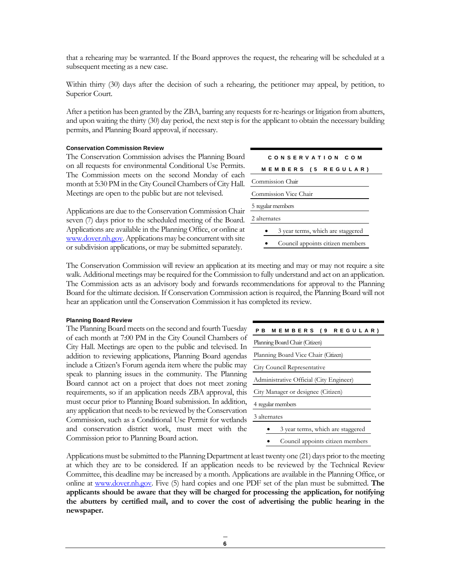that a rehearing may be warranted. If the Board approves the request, the rehearing will be scheduled at a subsequent meeting as a new case.

Within thirty (30) days after the decision of such a rehearing, the petitioner may appeal, by petition, to Superior Court.

After a petition has been granted by the ZBA, barring any requests for re-hearings or litigation from abutters, and upon waiting the thirty (30) day period, the next step is for the applicant to obtain the necessary building permits, and Planning Board approval, if necessary.

#### Conservation Commission Review

The Conservation Commission advises the Planning Board on all requests for environmental Conditional Use Permits. The Commission meets on the second Monday of each month at 5:30 PM in the City Council Chambers of City Hall. Meetings are open to the public but are not televised.

Applications are due to the Conservation Commission Chair seven (7) days prior to the scheduled meeting of the Board. Applications are available in the Planning Office, or online at www.dover.nh.gov. Applications may be concurrent with site or subdivision applications, or may be submitted separately.

| CONSERVATION COM                  |  |  |  |  |  |  |
|-----------------------------------|--|--|--|--|--|--|
| <b>MEMBERS (5 REGULAR)</b>        |  |  |  |  |  |  |
| Commission Chair                  |  |  |  |  |  |  |
| Commission Vice Chair             |  |  |  |  |  |  |
| 5 regular members                 |  |  |  |  |  |  |
| 2 alternates                      |  |  |  |  |  |  |
| 3 year terms, which are staggered |  |  |  |  |  |  |
| Council appoints citizen members  |  |  |  |  |  |  |

The Conservation Commission will review an application at its meeting and may or may not require a site walk. Additional meetings may be required for the Commission to fully understand and act on an application. The Commission acts as an advisory body and forwards recommendations for approval to the Planning Board for the ultimate decision. If Conservation Commission action is required, the Planning Board will not hear an application until the Conservation Commission it has completed its review.

#### Planning Board Review

The Planning Board meets on the second and fourth Tuesday of each month at 7:00 PM in the City Council Chambers of City Hall. Meetings are open to the public and televised. In addition to reviewing applications, Planning Board agendas include a Citizen's Forum agenda item where the public may speak to planning issues in the community. The Planning Board cannot act on a project that does not meet zoning requirements, so if an application needs ZBA approval, this must occur prior to Planning Board submission. In addition, any application that needs to be reviewed by the Conservation Commission, such as a Conditional Use Permit for wetlands and conservation district work, must meet with the Commission prior to Planning Board action.

| PB MEMBERS (9 REGULAR)                  |  |  |  |  |  |
|-----------------------------------------|--|--|--|--|--|
| Planning Board Chair (Citizen)          |  |  |  |  |  |
| Planning Board Vice Chair (Citizen)     |  |  |  |  |  |
| City Council Representative             |  |  |  |  |  |
| Administrative Official (City Engineer) |  |  |  |  |  |
| City Manager or designee (Citizen)      |  |  |  |  |  |
| 4 regular members                       |  |  |  |  |  |
| 3 alternates                            |  |  |  |  |  |
| 3 year terms, which are staggered       |  |  |  |  |  |
|                                         |  |  |  |  |  |

Council appoints citizen members

Applications must be submitted to the Planning Department at least twenty one (21) days prior to the meeting at which they are to be considered. If an application needs to be reviewed by the Technical Review Committee, this deadline may be increased by a month. Applications are available in the Planning Office, or online at www.dover.nh.gov. Five (5) hard copies and one PDF set of the plan must be submitted. **The applicants should be aware that they will be charged for processing the application, for notifying the abutters by certified mail, and to cover the cost of advertising the public hearing in the newspaper.**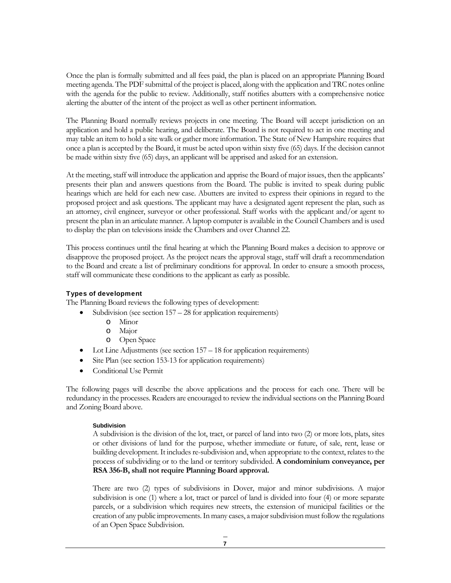Once the plan is formally submitted and all fees paid, the plan is placed on an appropriate Planning Board meeting agenda. The PDF submittal of the project is placed, along with the application and TRC notes online with the agenda for the public to review. Additionally, staff notifies abutters with a comprehensive notice alerting the abutter of the intent of the project as well as other pertinent information.

The Planning Board normally reviews projects in one meeting. The Board will accept jurisdiction on an application and hold a public hearing, and deliberate. The Board is not required to act in one meeting and may table an item to hold a site walk or gather more information. The State of New Hampshire requires that once a plan is accepted by the Board, it must be acted upon within sixty five (65) days. If the decision cannot be made within sixty five (65) days, an applicant will be apprised and asked for an extension.

At the meeting, staff will introduce the application and apprise the Board of major issues, then the applicants' presents their plan and answers questions from the Board. The public is invited to speak during public hearings which are held for each new case. Abutters are invited to express their opinions in regard to the proposed project and ask questions. The applicant may have a designated agent represent the plan, such as an attorney, civil engineer, surveyor or other professional. Staff works with the applicant and/or agent to present the plan in an articulate manner. A laptop computer is available in the Council Chambers and is used to display the plan on televisions inside the Chambers and over Channel 22.

This process continues until the final hearing at which the Planning Board makes a decision to approve or disapprove the proposed project. As the project nears the approval stage, staff will draft a recommendation to the Board and create a list of preliminary conditions for approval. In order to ensure a smooth process, staff will communicate these conditions to the applicant as early as possible.

#### Types of development

The Planning Board reviews the following types of development:

- Subdivision (see section 157 28 for application requirements)
	- o Minor
	- o Major
	- o Open Space
- Lot Line Adjustments (see section 157 18 for application requirements)
- Site Plan (see section 153-13 for application requirements)
- Conditional Use Permit

The following pages will describe the above applications and the process for each one. There will be redundancy in the processes. Readers are encouraged to review the individual sections on the Planning Board and Zoning Board above.

#### Subdivision

A subdivision is the division of the lot, tract, or parcel of land into two (2) or more lots, plats, sites or other divisions of land for the purpose, whether immediate or future, of sale, rent, lease or building development. It includes re-subdivision and, when appropriate to the context, relates to the process of subdividing or to the land or territory subdivided. **A condominium conveyance, per RSA 356-B, shall not require Planning Board approval.** 

There are two (2) types of subdivisions in Dover, major and minor subdivisions. A major subdivision is one (1) where a lot, tract or parcel of land is divided into four (4) or more separate parcels, or a subdivision which requires new streets, the extension of municipal facilities or the creation of any public improvements. In many cases, a major subdivision must follow the regulations of an Open Space Subdivision.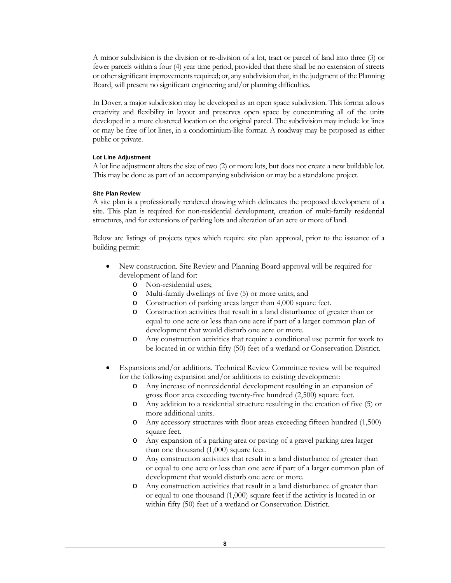A minor subdivision is the division or re-division of a lot, tract or parcel of land into three (3) or fewer parcels within a four (4) year time period, provided that there shall be no extension of streets or other significant improvements required; or, any subdivision that, in the judgment of the Planning Board, will present no significant engineering and/or planning difficulties.

In Dover, a major subdivision may be developed as an open space subdivision. This format allows creativity and flexibility in layout and preserves open space by concentrating all of the units developed in a more clustered location on the original parcel. The subdivision may include lot lines or may be free of lot lines, in a condominium-like format. A roadway may be proposed as either public or private.

#### Lot Line Adjustment

A lot line adjustment alters the size of two (2) or more lots, but does not create a new buildable lot. This may be done as part of an accompanying subdivision or may be a standalone project.

#### Site Plan Review

A site plan is a professionally rendered drawing which delineates the proposed development of a site. This plan is required for non-residential development, creation of multi-family residential structures, and for extensions of parking lots and alteration of an acre or more of land.

Below are listings of projects types which require site plan approval, prior to the issuance of a building permit:

- New construction. Site Review and Planning Board approval will be required for development of land for:
	- o Non-residential uses;
	- o Multi-family dwellings of five (5) or more units; and
	- o Construction of parking areas larger than 4,000 square feet.
	- o Construction activities that result in a land disturbance of greater than or equal to one acre or less than one acre if part of a larger common plan of development that would disturb one acre or more.
	- o Any construction activities that require a conditional use permit for work to be located in or within fifty (50) feet of a wetland or Conservation District.
- Expansions and/or additions. Technical Review Committee review will be required for the following expansion and/or additions to existing development:
	- o Any increase of nonresidential development resulting in an expansion of gross floor area exceeding twenty-five hundred (2,500) square feet.
	- o Any addition to a residential structure resulting in the creation of five (5) or more additional units.
	- o Any accessory structures with floor areas exceeding fifteen hundred (1,500) square feet.
	- o Any expansion of a parking area or paving of a gravel parking area larger than one thousand (1,000) square feet.
	- o Any construction activities that result in a land disturbance of greater than or equal to one acre or less than one acre if part of a larger common plan of development that would disturb one acre or more.
	- o Any construction activities that result in a land disturbance of greater than or equal to one thousand (1,000) square feet if the activity is located in or within fifty (50) feet of a wetland or Conservation District.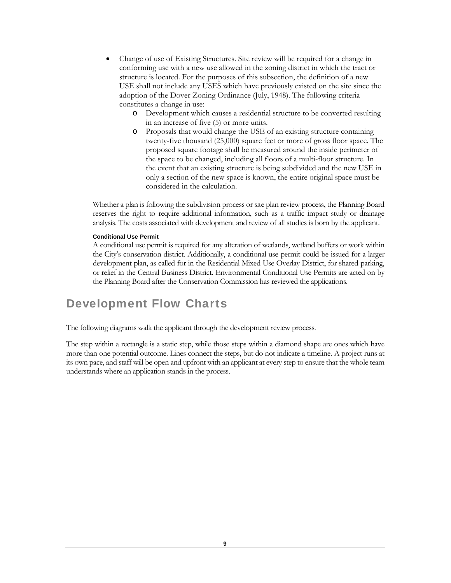- Change of use of Existing Structures. Site review will be required for a change in conforming use with a new use allowed in the zoning district in which the tract or structure is located. For the purposes of this subsection, the definition of a new USE shall not include any USES which have previously existed on the site since the adoption of the Dover Zoning Ordinance (July, 1948). The following criteria constitutes a change in use:
	- o Development which causes a residential structure to be converted resulting in an increase of five (5) or more units.
	- o Proposals that would change the USE of an existing structure containing twenty-five thousand (25,000) square feet or more of gross floor space. The proposed square footage shall be measured around the inside perimeter of the space to be changed, including all floors of a multi-floor structure. In the event that an existing structure is being subdivided and the new USE in only a section of the new space is known, the entire original space must be considered in the calculation.

Whether a plan is following the subdivision process or site plan review process, the Planning Board reserves the right to require additional information, such as a traffic impact study or drainage analysis. The costs associated with development and review of all studies is born by the applicant.

#### Conditional Use Permit

A conditional use permit is required for any alteration of wetlands, wetland buffers or work within the City's conservation district. Additionally, a conditional use permit could be issued for a larger development plan, as called for in the Residential Mixed Use Overlay District, for shared parking, or relief in the Central Business District. Environmental Conditional Use Permits are acted on by the Planning Board after the Conservation Commission has reviewed the applications.

## Development Flow Charts

The following diagrams walk the applicant through the development review process.

The step within a rectangle is a static step, while those steps within a diamond shape are ones which have more than one potential outcome. Lines connect the steps, but do not indicate a timeline. A project runs at its own pace, and staff will be open and upfront with an applicant at every step to ensure that the whole team understands where an application stands in the process.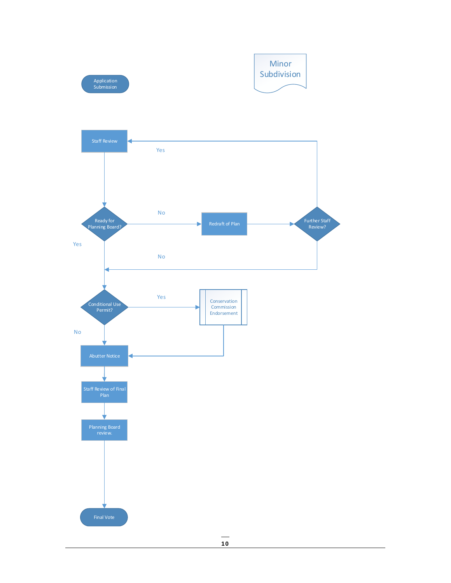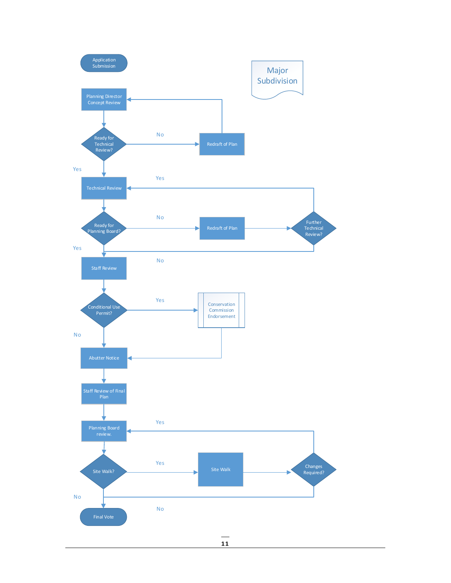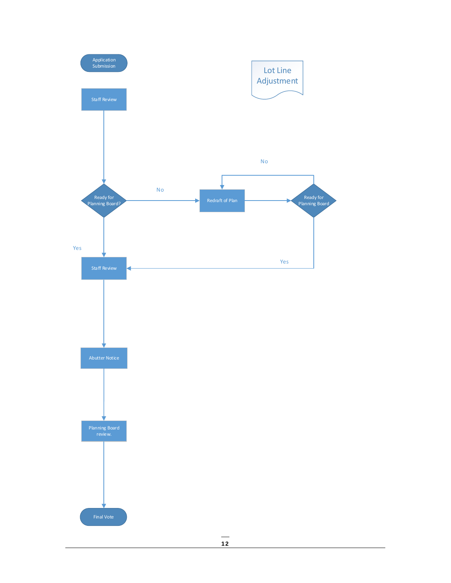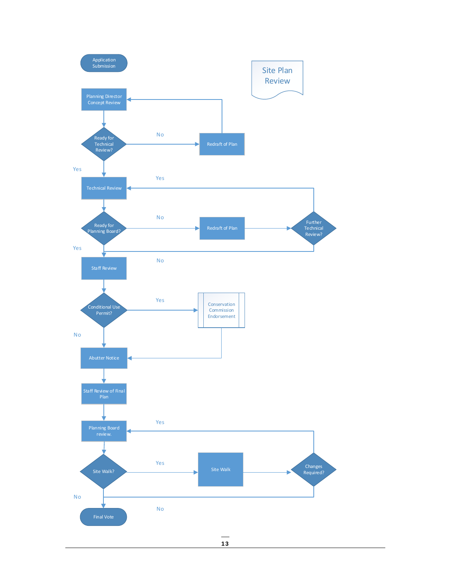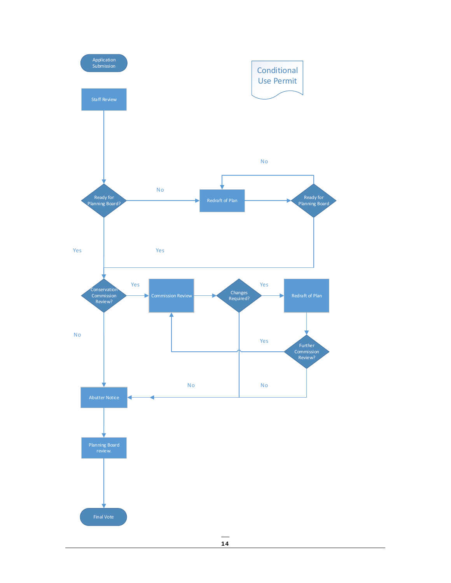![](_page_17_Figure_0.jpeg)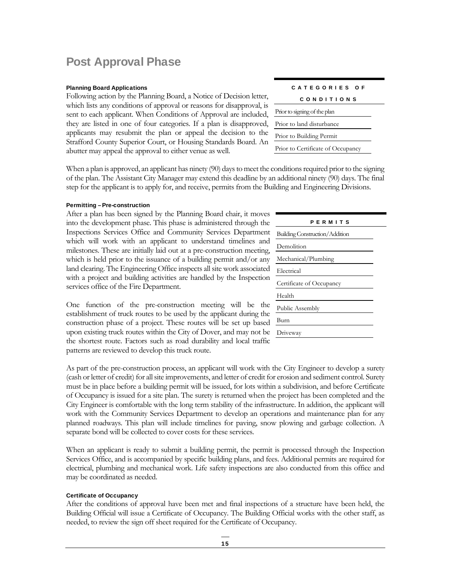## Post Approval Phase

#### Planning Board Applications

Following action by the Planning Board, a Notice of Decision letter, which lists any conditions of approval or reasons for disapproval, is sent to each applicant. When Conditions of Approval are included, they are listed in one of four categories. If a plan is disapproved, applicants may resubmit the plan or appeal the decision to the Strafford County Superior Court, or Housing Standards Board. An abutter may appeal the approval to either venue as well.

When a plan is approved, an applicant has ninety (90) days to meet the conditions required prior to the signing of the plan. The Assistant City Manager may extend this deadline by an additional ninety (90) days. The final step for the applicant is to apply for, and receive, permits from the Building and Engineering Divisions.

#### Permitting – Pre-construction

After a plan has been signed by the Planning Board chair, it moves into the development phase. This phase is administered through the Inspections Services Office and Community Services Department which will work with an applicant to understand timelines and milestones. These are initially laid out at a pre-construction meeting, which is held prior to the issuance of a building permit and/or any land clearing. The Engineering Office inspects all site work associated with a project and building activities are handled by the Inspection services office of the Fire Department.

One function of the pre-construction meeting will be the establishment of truck routes to be used by the applicant during the construction phase of a project. These routes will be set up based upon existing truck routes within the City of Dover, and may not be the shortest route. Factors such as road durability and local traffic patterns are reviewed to develop this truck route.

As part of the pre-construction process, an applicant will work with the City Engineer to develop a surety (cash or letter of credit) for all site improvements, and letter of credit for erosion and sediment control. Surety must be in place before a building permit will be issued, for lots within a subdivision, and before Certificate of Occupancy is issued for a site plan. The surety is returned when the project has been completed and the City Engineer is comfortable with the long term stability of the infrastructure. In addition, the applicant will work with the Community Services Department to develop an operations and maintenance plan for any planned roadways. This plan will include timelines for paving, snow plowing and garbage collection. A separate bond will be collected to cover costs for these services.

When an applicant is ready to submit a building permit, the permit is processed through the Inspection Services Office, and is accompanied by specific building plans, and fees. Additional permits are required for electrical, plumbing and mechanical work. Life safety inspections are also conducted from this office and may be coordinated as needed.

#### Certificate of Occupancy

After the conditions of approval have been met and final inspections of a structure have been held, the Building Official will issue a Certificate of Occupancy. The Building Official works with the other staff, as needed, to review the sign off sheet required for the Certificate of Occupancy.

| CATEGORIES OF                     |
|-----------------------------------|
| CONDITIONS                        |
| Prior to signing of the plan      |
| Prior to land disturbance         |
| Prior to Building Permit          |
| Prior to Certificate of Occupancy |

| PERMITS                               |  |
|---------------------------------------|--|
| <b>Building Construction/Addition</b> |  |
| Demolition                            |  |
| Mechanical/Plumbing                   |  |
| Electrical                            |  |
| Certificate of Occupancy              |  |
| Health                                |  |
| Public Assembly                       |  |
| Burn                                  |  |
| Driveway                              |  |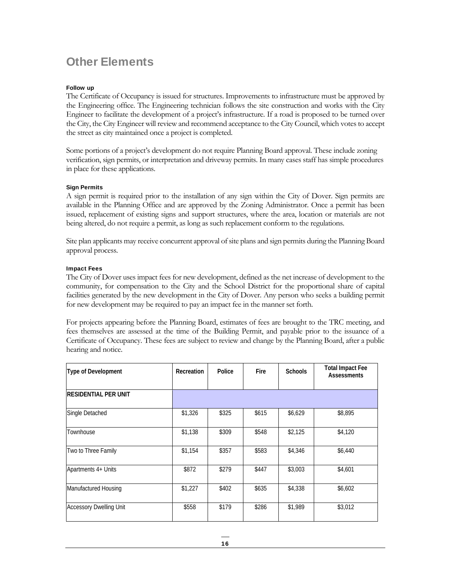## Other Elements

#### Follow up

The Certificate of Occupancy is issued for structures. Improvements to infrastructure must be approved by the Engineering office. The Engineering technician follows the site construction and works with the City Engineer to facilitate the development of a project's infrastructure. If a road is proposed to be turned over the City, the City Engineer will review and recommend acceptance to the City Council, which votes to accept the street as city maintained once a project is completed.

Some portions of a project's development do not require Planning Board approval. These include zoning verification, sign permits, or interpretation and driveway permits. In many cases staff has simple procedures in place for these applications.

#### Sign Permits

A sign permit is required prior to the installation of any sign within the City of Dover. Sign permits are available in the Planning Office and are approved by the Zoning Administrator. Once a permit has been issued, replacement of existing signs and support structures, where the area, location or materials are not being altered, do not require a permit, as long as such replacement conform to the regulations.

Site plan applicants may receive concurrent approval of site plans and sign permits during the Planning Board approval process.

#### Impact Fees

The City of Dover uses impact fees for new development, defined as the net increase of development to the community, for compensation to the City and the School District for the proportional share of capital facilities generated by the new development in the City of Dover. Any person who seeks a building permit for new development may be required to pay an impact fee in the manner set forth.

For projects appearing before the Planning Board, estimates of fees are brought to the TRC meeting, and fees themselves are assessed at the time of the Building Permit, and payable prior to the issuance of a Certificate of Occupancy. These fees are subject to review and change by the Planning Board, after a public hearing and notice.

| Type of Development            | Recreation | Police | Fire  | <b>Schools</b> | <b>Total Impact Fee</b><br><b>Assessments</b> |
|--------------------------------|------------|--------|-------|----------------|-----------------------------------------------|
| <b>RESIDENTIAL PER UNIT</b>    |            |        |       |                |                                               |
| Single Detached                | \$1,326    | \$325  | \$615 | \$6,629        | \$8,895                                       |
| Townhouse                      | \$1,138    | \$309  | \$548 | \$2,125        | \$4,120                                       |
| Two to Three Family            | \$1,154    | \$357  | \$583 | \$4,346        | \$6,440                                       |
| Apartments 4+ Units            | \$872      | \$279  | \$447 | \$3,003        | \$4,601                                       |
| Manufactured Housing           | \$1,227    | \$402  | \$635 | \$4,338        | \$6,602                                       |
| <b>Accessory Dwelling Unit</b> | \$558      | \$179  | \$286 | \$1,989        | \$3,012                                       |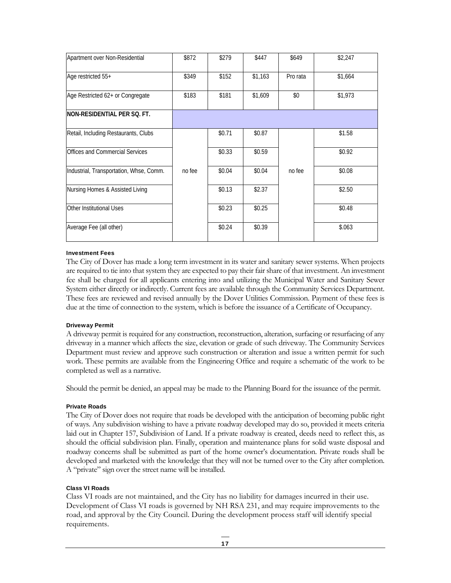| \$872  | \$279  | \$447   | \$649    | \$2,247 |
|--------|--------|---------|----------|---------|
| \$349  | \$152  | \$1,163 | Pro rata | \$1,664 |
| \$183  | \$181  | \$1,609 | \$0      | \$1,973 |
|        |        |         |          |         |
|        | \$0.71 | \$0.87  |          | \$1.58  |
|        | \$0.33 | \$0.59  |          | \$0.92  |
| no fee | \$0.04 | \$0.04  | no fee   | \$0.08  |
|        | \$0.13 | \$2.37  |          | \$2.50  |
|        | \$0.23 | \$0.25  |          | \$0.48  |
|        | \$0.24 | \$0.39  |          | \$.063  |
|        |        |         |          |         |

#### Investment Fees

The City of Dover has made a long term investment in its water and sanitary sewer systems. When projects are required to tie into that system they are expected to pay their fair share of that investment. An investment fee shall be charged for all applicants entering into and utilizing the Municipal Water and Sanitary Sewer System either directly or indirectly. Current fees are available through the Community Services Department. These fees are reviewed and revised annually by the Dover Utilities Commission. Payment of these fees is due at the time of connection to the system, which is before the issuance of a Certificate of Occupancy.

#### Driveway Permit

A driveway permit is required for any construction, reconstruction, alteration, surfacing or resurfacing of any driveway in a manner which affects the size, elevation or grade of such driveway. The Community Services Department must review and approve such construction or alteration and issue a written permit for such work. These permits are available from the Engineering Office and require a schematic of the work to be completed as well as a narrative.

Should the permit be denied, an appeal may be made to the Planning Board for the issuance of the permit.

#### Private Roads

The City of Dover does not require that roads be developed with the anticipation of becoming public right of ways. Any subdivision wishing to have a private roadway developed may do so, provided it meets criteria laid out in Chapter 157, Subdivision of Land. If a private roadway is created, deeds need to reflect this, as should the official subdivision plan. Finally, operation and maintenance plans for solid waste disposal and roadway concerns shall be submitted as part of the home owner's documentation. Private roads shall be developed and marketed with the knowledge that they will not be turned over to the City after completion. A "private" sign over the street name will be installed.

#### Class VI Roads

Class VI roads are not maintained, and the City has no liability for damages incurred in their use. Development of Class VI roads is governed by NH RSA 231, and may require improvements to the road, and approval by the City Council. During the development process staff will identify special requirements.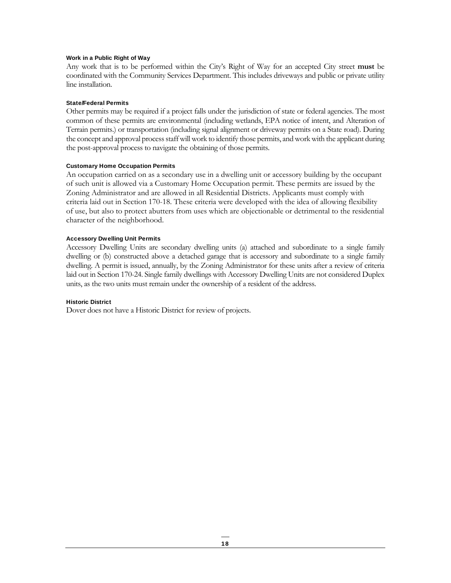#### Work in a Public Right of Way

Any work that is to be performed within the City's Right of Way for an accepted City street **must** be coordinated with the Community Services Department. This includes driveways and public or private utility line installation.

#### State/Federal Permits

Other permits may be required if a project falls under the jurisdiction of state or federal agencies. The most common of these permits are environmental (including wetlands, EPA notice of intent, and Alteration of Terrain permits.) or transportation (including signal alignment or driveway permits on a State road). During the concept and approval process staff will work to identify those permits, and work with the applicant during the post-approval process to navigate the obtaining of those permits.

#### Customary Home Occupation Permits

An occupation carried on as a secondary use in a dwelling unit or accessory building by the occupant of such unit is allowed via a Customary Home Occupation permit. These permits are issued by the Zoning Administrator and are allowed in all Residential Districts. Applicants must comply with criteria laid out in Section 170-18. These criteria were developed with the idea of allowing flexibility of use, but also to protect abutters from uses which are objectionable or detrimental to the residential character of the neighborhood.

#### Accessory Dwelling Unit Permits

Accessory Dwelling Units are secondary dwelling units (a) attached and subordinate to a single family dwelling or (b) constructed above a detached garage that is accessory and subordinate to a single family dwelling. A permit is issued, annually, by the Zoning Administrator for these units after a review of criteria laid out in Section 170-24. Single family dwellings with Accessory Dwelling Units are not considered Duplex units, as the two units must remain under the ownership of a resident of the address.

#### Historic District

Dover does not have a Historic District for review of projects.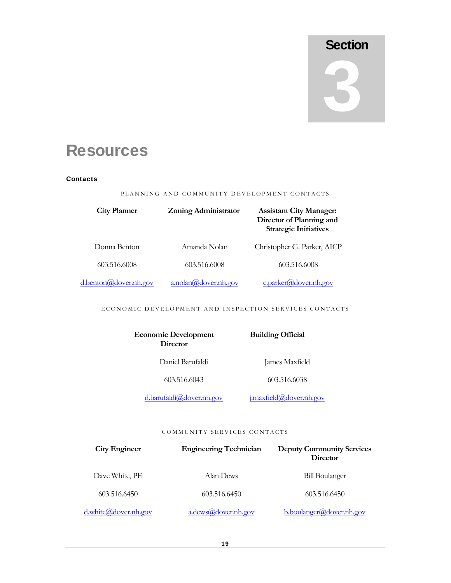## **Section** 2

## **Resources**

#### **Contacts**

PLANNING AND COMMUNITY DEVELOPMENT CONTACTS

| <b>City Planner</b>   | <b>Zoning Administrator</b> | <b>Assistant City Manager:</b><br>Director of Planning and<br><b>Strategic Initiatives</b> |
|-----------------------|-----------------------------|--------------------------------------------------------------------------------------------|
| Donna Benton          | Amanda Nolan                | Christopher G. Parker, AICP                                                                |
| 603.516.6008          | 603.516.6008                | 603.516.6008                                                                               |
| d.benton@dover.nh.gov | a.nolan@downr.nh.gov        | $c.$ parker@dover.nh.gov                                                                   |

ECONOMIC DEVELOPMENT AND INSPECTION SERVICES CONTACTS

| <b>Economic Development</b><br>Director | <b>Building Official</b> |
|-----------------------------------------|--------------------------|
| Daniel Barufaldi                        | James Maxfield           |
| 603.516.6043                            | 603.516.6038             |
| d.barufaldi@dover.nh.gov                | i.maxfield@dover.nh.gov  |

#### COMMUNITY SERVICES CONTACTS

| <b>City Engineer</b> | <b>Engineering Technician</b> | <b>Deputy Community Services</b><br>Director |
|----------------------|-------------------------------|----------------------------------------------|
| Dave White, PE       | Alan Dews                     | <b>Bill Boulanger</b>                        |
| 603.516.6450         | 603.516.6450                  | 603.516.6450                                 |
| d.white@dover.nh.gov | a.dews@dover.nh.gov           | b.boulanger@dover.nh.gov                     |